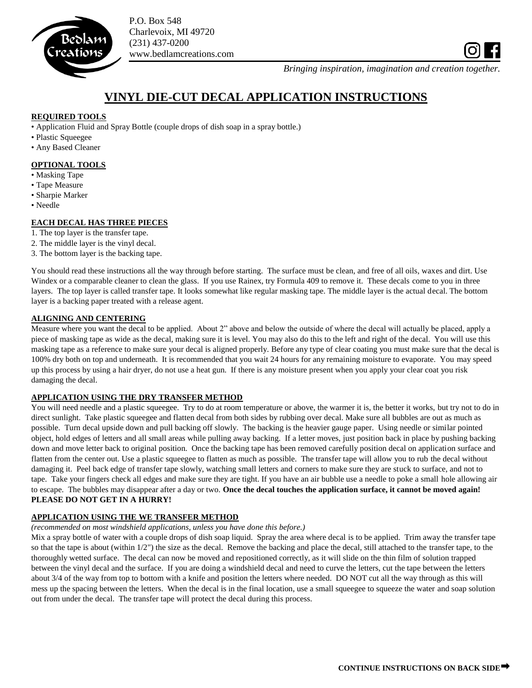

P.O. Box 548 Charlevoix, MI 49720 (231) 437-0200 www.bedlamcreations.com

*Bringing inspiration, imagination and creation together.*

# **VINYL DIE-CUT DECAL APPLICATION INSTRUCTIONS**

# **REQUIRED TOOLS**

• Application Fluid and Spray Bottle (couple drops of dish soap in a spray bottle.)

- Plastic Squeegee
- Any Based Cleaner

# **OPTIONAL TOOLS**

- Masking Tape
- Tape Measure
- Sharpie Marker
- Needle

# **EACH DECAL HAS THREE PIECES**

- 1. The top layer is the transfer tape.
- 2. The middle layer is the vinyl decal.
- 3. The bottom layer is the backing tape.

You should read these instructions all the way through before starting. The surface must be clean, and free of all oils, waxes and dirt. Use Windex or a comparable cleaner to clean the glass. If you use Rainex, try Formula 409 to remove it. These decals come to you in three layers. The top layer is called transfer tape. It looks somewhat like regular masking tape. The middle layer is the actual decal. The bottom layer is a backing paper treated with a release agent.

### **ALIGNING AND CENTERING**

Measure where you want the decal to be applied. About 2" above and below the outside of where the decal will actually be placed, apply a piece of masking tape as wide as the decal, making sure it is level. You may also do this to the left and right of the decal. You will use this masking tape as a reference to make sure your decal is aligned properly. Before any type of clear coating you must make sure that the decal is 100% dry both on top and underneath. It is recommended that you wait 24 hours for any remaining moisture to evaporate. You may speed up this process by using a hair dryer, do not use a heat gun. If there is any moisture present when you apply your clear coat you risk damaging the decal.

## **APPLICATION USING THE DRY TRANSFER METHOD**

You will need needle and a plastic squeegee. Try to do at room temperature or above, the warmer it is, the better it works, but try not to do in direct sunlight. Take plastic squeegee and flatten decal from both sides by rubbing over decal. Make sure all bubbles are out as much as possible. Turn decal upside down and pull backing off slowly. The backing is the heavier gauge paper. Using needle or similar pointed object, hold edges of letters and all small areas while pulling away backing. If a letter moves, just position back in place by pushing backing down and move letter back to original position. Once the backing tape has been removed carefully position decal on application surface and flatten from the center out. Use a plastic squeegee to flatten as much as possible. The transfer tape will allow you to rub the decal without damaging it. Peel back edge of transfer tape slowly, watching small letters and corners to make sure they are stuck to surface, and not to tape. Take your fingers check all edges and make sure they are tight. If you have an air bubble use a needle to poke a small hole allowing air to escape. The bubbles may disappear after a day or two. **Once the decal touches the application surface, it cannot be moved again! PLEASE DO NOT GET IN A HURRY!**

### **APPLICATION USING THE WE TRANSFER METHOD**

### *(recommended on most windshield applications, unless you have done this before.)*

Mix a spray bottle of water with a couple drops of dish soap liquid. Spray the area where decal is to be applied. Trim away the transfer tape so that the tape is about (within 1/2") the size as the decal. Remove the backing and place the decal, still attached to the transfer tape, to the thoroughly wetted surface. The decal can now be moved and repositioned correctly, as it will slide on the thin film of solution trapped between the vinyl decal and the surface. If you are doing a windshield decal and need to curve the letters, cut the tape between the letters about 3/4 of the way from top to bottom with a knife and position the letters where needed. DO NOT cut all the way through as this will mess up the spacing between the letters. When the decal is in the final location, use a small squeegee to squeeze the water and soap solution out from under the decal. The transfer tape will protect the decal during this process.